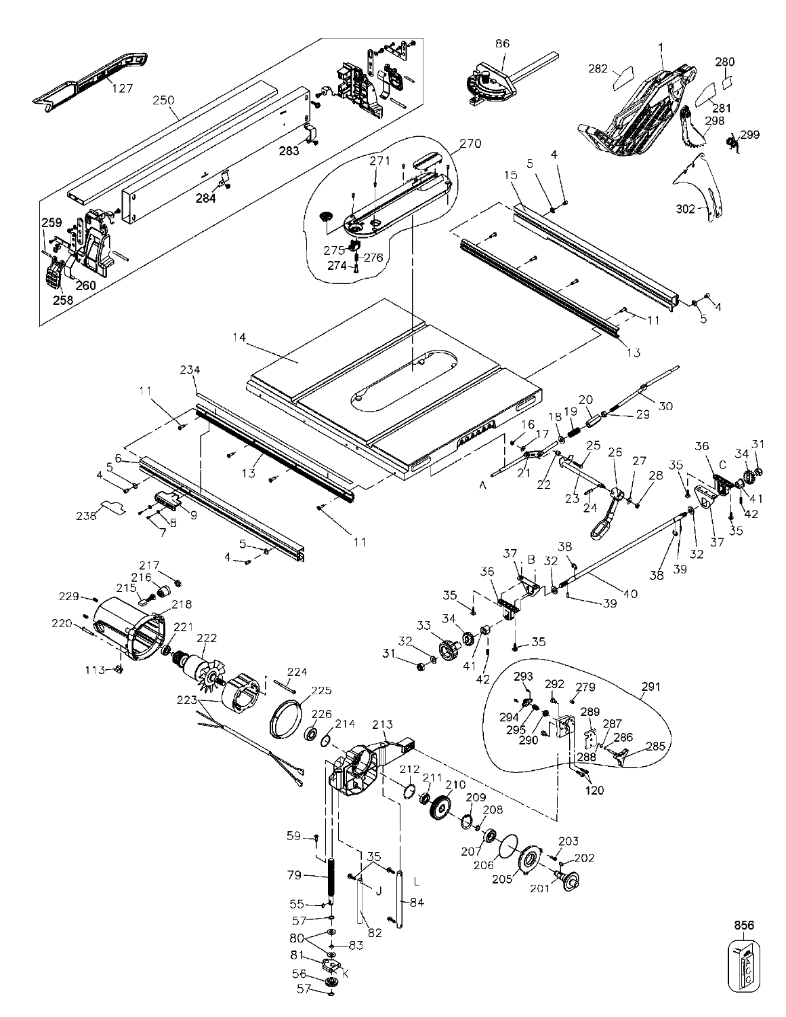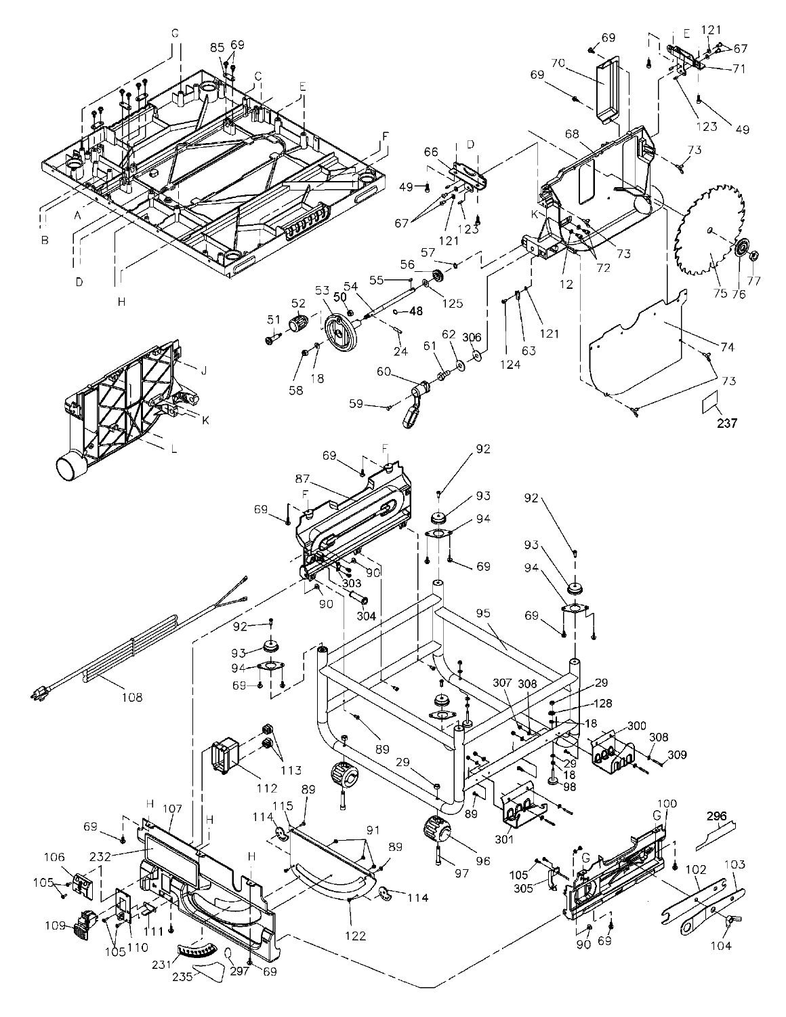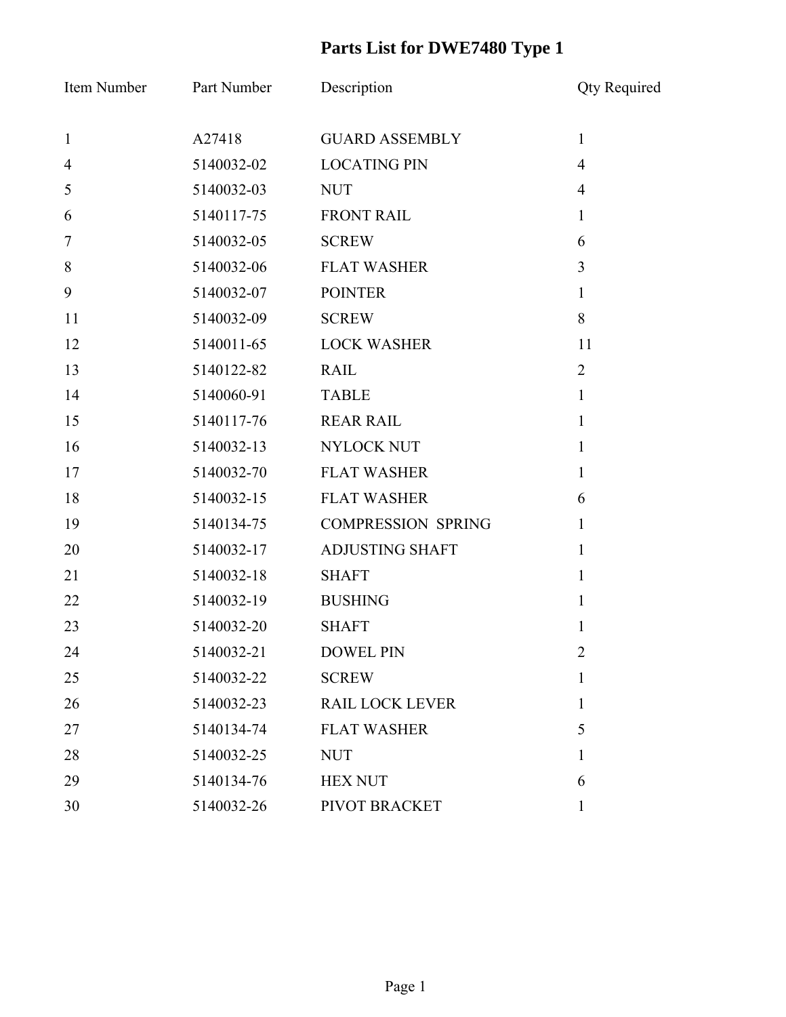| Item Number      | Part Number | Description               | <b>Qty Required</b> |
|------------------|-------------|---------------------------|---------------------|
| $\mathbf{1}$     | A27418      | <b>GUARD ASSEMBLY</b>     | $\mathbf{1}$        |
| $\overline{4}$   | 5140032-02  | <b>LOCATING PIN</b>       | $\overline{4}$      |
| 5                | 5140032-03  | <b>NUT</b>                | $\overline{4}$      |
| 6                | 5140117-75  | <b>FRONT RAIL</b>         | $\mathbf{1}$        |
| $\boldsymbol{7}$ | 5140032-05  | <b>SCREW</b>              | 6                   |
| 8                | 5140032-06  | <b>FLAT WASHER</b>        | 3                   |
| 9                | 5140032-07  | <b>POINTER</b>            | $\mathbf{1}$        |
| 11               | 5140032-09  | <b>SCREW</b>              | 8                   |
| 12               | 5140011-65  | <b>LOCK WASHER</b>        | 11                  |
| 13               | 5140122-82  | <b>RAIL</b>               | $\overline{2}$      |
| 14               | 5140060-91  | <b>TABLE</b>              | $\mathbf{1}$        |
| 15               | 5140117-76  | <b>REAR RAIL</b>          | $\mathbf{1}$        |
| 16               | 5140032-13  | NYLOCK NUT                | $\mathbf{1}$        |
| 17               | 5140032-70  | <b>FLAT WASHER</b>        | $\mathbf{1}$        |
| 18               | 5140032-15  | <b>FLAT WASHER</b>        | 6                   |
| 19               | 5140134-75  | <b>COMPRESSION SPRING</b> | $\mathbf{1}$        |
| 20               | 5140032-17  | <b>ADJUSTING SHAFT</b>    | $\mathbf{1}$        |
| 21               | 5140032-18  | <b>SHAFT</b>              | $\mathbf{1}$        |
| 22               | 5140032-19  | <b>BUSHING</b>            | $\mathbf{1}$        |
| 23               | 5140032-20  | <b>SHAFT</b>              | 1                   |
| 24               | 5140032-21  | <b>DOWEL PIN</b>          | ∠                   |
| 25               | 5140032-22  | <b>SCREW</b>              | 1                   |
| 26               | 5140032-23  | <b>RAIL LOCK LEVER</b>    | 1                   |
| 27               | 5140134-74  | <b>FLAT WASHER</b>        | 5                   |
| 28               | 5140032-25  | <b>NUT</b>                | 1                   |
| 29               | 5140134-76  | <b>HEX NUT</b>            | 6                   |
| 30               | 5140032-26  | PIVOT BRACKET             | $\mathbf{1}$        |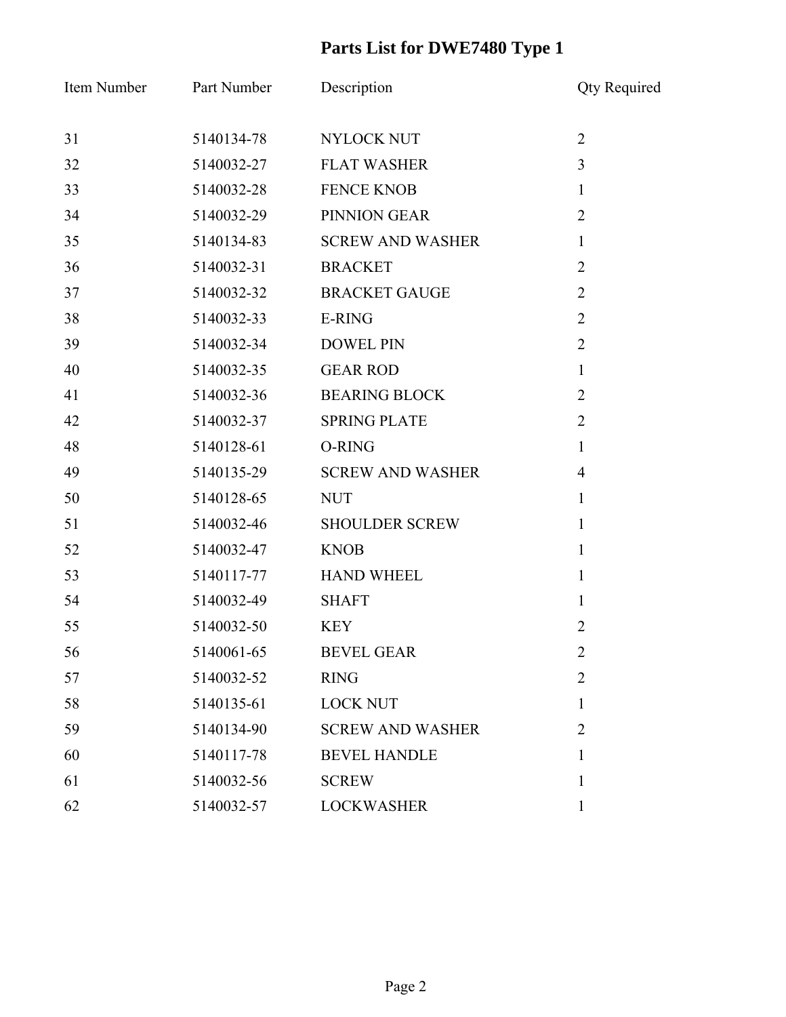| Item Number | Part Number | Description             | <b>Qty Required</b> |
|-------------|-------------|-------------------------|---------------------|
| 31          | 5140134-78  | NYLOCK NUT              | $\overline{2}$      |
| 32          | 5140032-27  | <b>FLAT WASHER</b>      | 3                   |
| 33          | 5140032-28  | <b>FENCE KNOB</b>       | $\mathbf{1}$        |
| 34          | 5140032-29  | PINNION GEAR            | $\overline{2}$      |
| 35          | 5140134-83  | <b>SCREW AND WASHER</b> | $\mathbf{1}$        |
| 36          | 5140032-31  | <b>BRACKET</b>          | $\overline{2}$      |
| 37          | 5140032-32  | <b>BRACKET GAUGE</b>    | $\overline{2}$      |
| 38          | 5140032-33  | E-RING                  | $\overline{2}$      |
| 39          | 5140032-34  | <b>DOWEL PIN</b>        | $\overline{2}$      |
| 40          | 5140032-35  | <b>GEAR ROD</b>         | $\mathbf{1}$        |
| 41          | 5140032-36  | <b>BEARING BLOCK</b>    | $\overline{2}$      |
| 42          | 5140032-37  | <b>SPRING PLATE</b>     | $\overline{2}$      |
| 48          | 5140128-61  | O-RING                  | $\mathbf{1}$        |
| 49          | 5140135-29  | <b>SCREW AND WASHER</b> | $\overline{4}$      |
| 50          | 5140128-65  | <b>NUT</b>              | $\mathbf{1}$        |
| 51          | 5140032-46  | <b>SHOULDER SCREW</b>   | $\mathbf{1}$        |
| 52          | 5140032-47  | <b>KNOB</b>             | $\mathbf{1}$        |
| 53          | 5140117-77  | <b>HAND WHEEL</b>       | $\mathbf{1}$        |
| 54          | 5140032-49  | <b>SHAFT</b>            | $\mathbf{1}$        |
| 55          | 5140032-50  | <b>KEY</b>              | $\overline{2}$      |
| 56          | 5140061-65  | <b>BEVEL GEAR</b>       | ∠                   |
| 57          | 5140032-52  | <b>RING</b>             | $\overline{2}$      |
| 58          | 5140135-61  | <b>LOCK NUT</b>         | 1                   |
| 59          | 5140134-90  | <b>SCREW AND WASHER</b> | $\overline{2}$      |
| 60          | 5140117-78  | <b>BEVEL HANDLE</b>     | 1                   |
| 61          | 5140032-56  | <b>SCREW</b>            | 1                   |
| 62          | 5140032-57  | <b>LOCKWASHER</b>       | 1                   |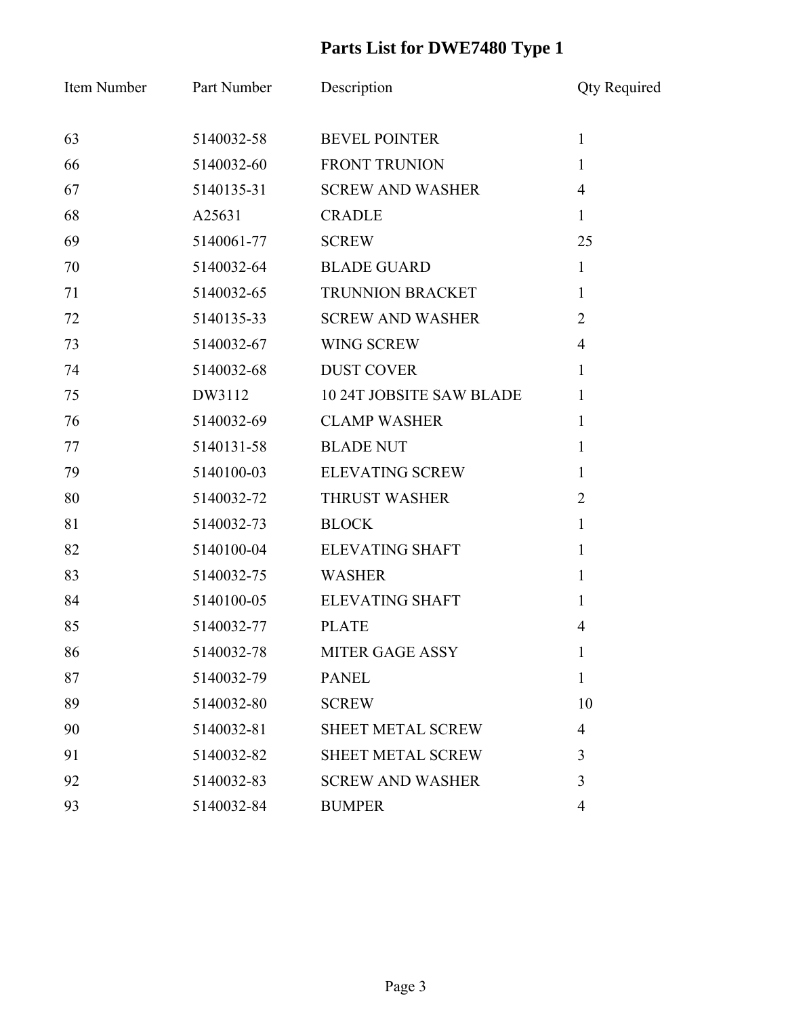| Item Number | Part Number | Description                     | <b>Qty Required</b> |
|-------------|-------------|---------------------------------|---------------------|
| 63          | 5140032-58  | <b>BEVEL POINTER</b>            | $\mathbf{1}$        |
| 66          | 5140032-60  | <b>FRONT TRUNION</b>            | $\mathbf{1}$        |
| 67          | 5140135-31  | <b>SCREW AND WASHER</b>         | $\overline{4}$      |
| 68          | A25631      | <b>CRADLE</b>                   | $\mathbf{1}$        |
| 69          | 5140061-77  | <b>SCREW</b>                    | 25                  |
| 70          | 5140032-64  | <b>BLADE GUARD</b>              | $\mathbf{1}$        |
| 71          | 5140032-65  | TRUNNION BRACKET                | $\mathbf{1}$        |
| 72          | 5140135-33  | <b>SCREW AND WASHER</b>         | $\overline{2}$      |
| 73          | 5140032-67  | WING SCREW                      | $\overline{4}$      |
| 74          | 5140032-68  | <b>DUST COVER</b>               | $\mathbf{1}$        |
| 75          | DW3112      | <b>10 24T JOBSITE SAW BLADE</b> | $\mathbf{1}$        |
| 76          | 5140032-69  | <b>CLAMP WASHER</b>             | $\mathbf{1}$        |
| 77          | 5140131-58  | <b>BLADE NUT</b>                | $\mathbf{1}$        |
| 79          | 5140100-03  | <b>ELEVATING SCREW</b>          | $\mathbf{1}$        |
| 80          | 5140032-72  | THRUST WASHER                   | $\overline{2}$      |
| 81          | 5140032-73  | <b>BLOCK</b>                    | $\mathbf{1}$        |
| 82          | 5140100-04  | <b>ELEVATING SHAFT</b>          | $\mathbf{1}$        |
| 83          | 5140032-75  | WASHER                          | $\mathbf{1}$        |
| 84          | 5140100-05  | <b>ELEVATING SHAFT</b>          | $\mathbf{1}$        |
| 85          | 5140032-77  | <b>PLATE</b>                    | $\overline{4}$      |
| 86          | 5140032-78  | <b>MITER GAGE ASSY</b>          | $\mathbf{I}$        |
| 87          | 5140032-79  | <b>PANEL</b>                    | $\mathbf{1}$        |
| 89          | 5140032-80  | <b>SCREW</b>                    | 10                  |
| 90          | 5140032-81  | <b>SHEET METAL SCREW</b>        | $\overline{4}$      |
| 91          | 5140032-82  | <b>SHEET METAL SCREW</b>        | 3                   |
| 92          | 5140032-83  | <b>SCREW AND WASHER</b>         | 3                   |
| 93          | 5140032-84  | <b>BUMPER</b>                   | 4                   |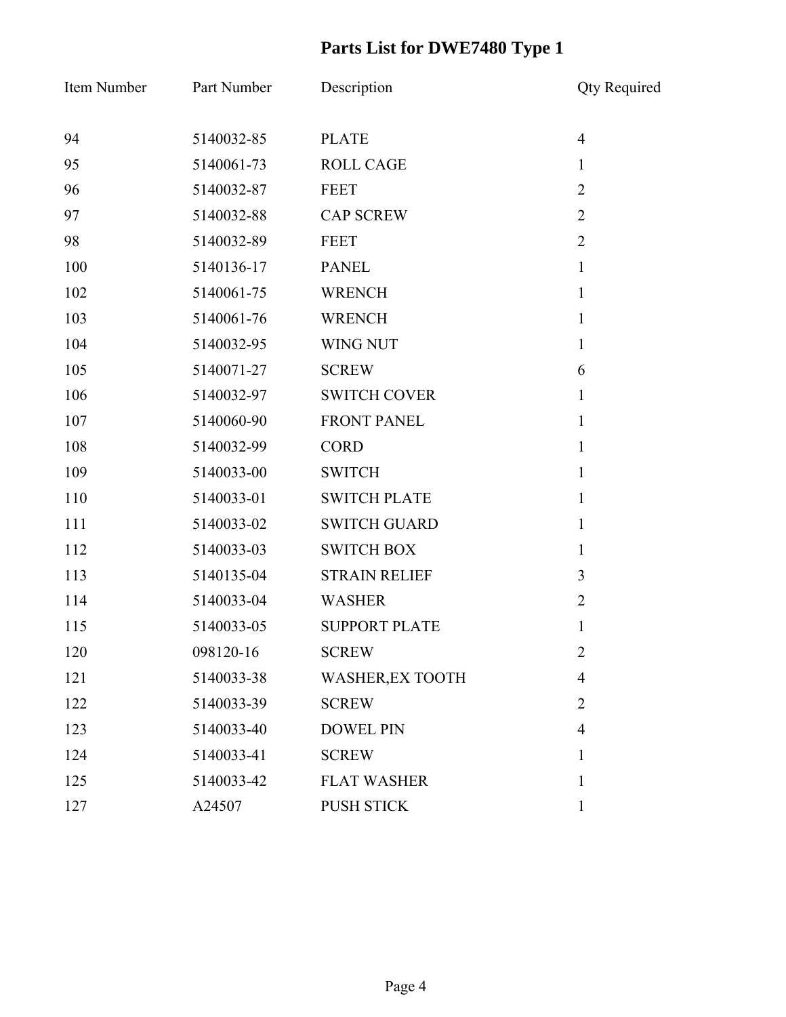| Item Number | Part Number | Description             | <b>Qty Required</b> |
|-------------|-------------|-------------------------|---------------------|
| 94          | 5140032-85  | <b>PLATE</b>            | $\overline{4}$      |
| 95          | 5140061-73  | <b>ROLL CAGE</b>        | $\mathbf{1}$        |
| 96          | 5140032-87  | <b>FEET</b>             | $\overline{2}$      |
| 97          | 5140032-88  | <b>CAP SCREW</b>        | $\overline{2}$      |
| 98          | 5140032-89  | <b>FEET</b>             | $\overline{2}$      |
| 100         | 5140136-17  | <b>PANEL</b>            | $\mathbf{1}$        |
| 102         | 5140061-75  | <b>WRENCH</b>           | $\mathbf{1}$        |
| 103         | 5140061-76  | <b>WRENCH</b>           | $\mathbf{1}$        |
| 104         | 5140032-95  | <b>WING NUT</b>         | $\mathbf{1}$        |
| 105         | 5140071-27  | <b>SCREW</b>            | 6                   |
| 106         | 5140032-97  | <b>SWITCH COVER</b>     | $\mathbf{1}$        |
| 107         | 5140060-90  | <b>FRONT PANEL</b>      | $\mathbf{1}$        |
| 108         | 5140032-99  | <b>CORD</b>             | $\mathbf{1}$        |
| 109         | 5140033-00  | <b>SWITCH</b>           | $\mathbf{1}$        |
| 110         | 5140033-01  | <b>SWITCH PLATE</b>     | $\mathbf{1}$        |
| 111         | 5140033-02  | <b>SWITCH GUARD</b>     | $\mathbf{1}$        |
| 112         | 5140033-03  | <b>SWITCH BOX</b>       | $\mathbf{1}$        |
| 113         | 5140135-04  | <b>STRAIN RELIEF</b>    | 3                   |
| 114         | 5140033-04  | <b>WASHER</b>           | $\overline{2}$      |
| 115         | 5140033-05  | <b>SUPPORT PLATE</b>    | 1                   |
| 120         | 098120-16   | <b>SCREW</b>            | 2                   |
| 121         | 5140033-38  | <b>WASHER, EX TOOTH</b> | $\overline{4}$      |
| 122         | 5140033-39  | <b>SCREW</b>            | $\overline{2}$      |
| 123         | 5140033-40  | <b>DOWEL PIN</b>        | $\overline{4}$      |
| 124         | 5140033-41  | <b>SCREW</b>            | $\mathbf{1}$        |
| 125         | 5140033-42  | <b>FLAT WASHER</b>      | 1                   |
| 127         | A24507      | <b>PUSH STICK</b>       | 1                   |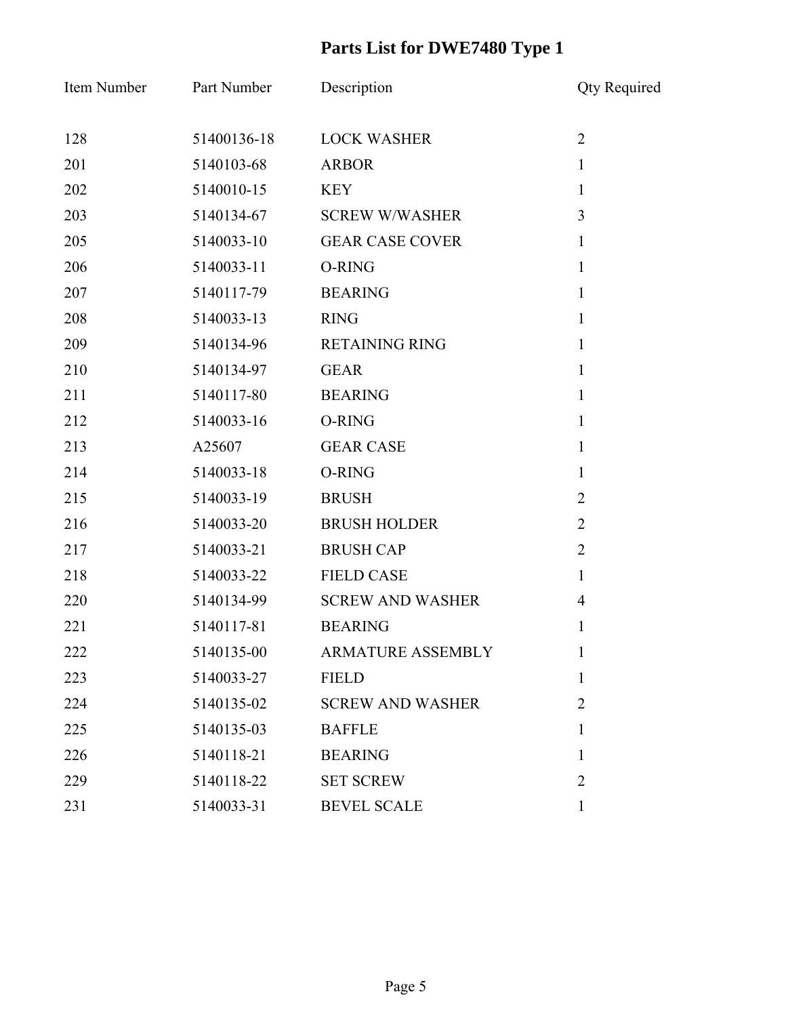| Item Number | Part Number | Description             | <b>Qty Required</b> |
|-------------|-------------|-------------------------|---------------------|
| 128         | 51400136-18 | <b>LOCK WASHER</b>      | $\overline{2}$      |
| 201         | 5140103-68  | <b>ARBOR</b>            | $\mathbf{1}$        |
| 202         | 5140010-15  | <b>KEY</b>              | $\mathbf{1}$        |
| 203         | 5140134-67  | <b>SCREW W/WASHER</b>   | 3                   |
| 205         | 5140033-10  | <b>GEAR CASE COVER</b>  | $\mathbf{1}$        |
| 206         | 5140033-11  | O-RING                  | $\mathbf{1}$        |
| 207         | 5140117-79  | <b>BEARING</b>          | $\mathbf{1}$        |
| 208         | 5140033-13  | <b>RING</b>             | 1                   |
| 209         | 5140134-96  | <b>RETAINING RING</b>   | $\mathbf{1}$        |
| 210         | 5140134-97  | <b>GEAR</b>             | $\mathbf{1}$        |
| 211         | 5140117-80  | <b>BEARING</b>          | $\mathbf{1}$        |
| 212         | 5140033-16  | O-RING                  | $\mathbf{1}$        |
| 213         | A25607      | <b>GEAR CASE</b>        | $\mathbf{1}$        |
| 214         | 5140033-18  | O-RING                  | $\mathbf{1}$        |
| 215         | 5140033-19  | <b>BRUSH</b>            | $\overline{2}$      |
| 216         | 5140033-20  | <b>BRUSH HOLDER</b>     | $\overline{2}$      |
| 217         | 5140033-21  | <b>BRUSH CAP</b>        | $\overline{2}$      |
| 218         | 5140033-22  | <b>FIELD CASE</b>       | $\mathbf{1}$        |
| 220         | 5140134-99  | <b>SCREW AND WASHER</b> | $\overline{4}$      |
| 221         | 5140117-81  | <b>BEARING</b>          | 1                   |
| 222         | 5140135-00  | ARMATURE ASSEMBLY       | $\mathbf{I}$        |
| 223         | 5140033-27  | <b>FIELD</b>            | 1                   |
| 224         | 5140135-02  | <b>SCREW AND WASHER</b> | $\overline{2}$      |
| 225         | 5140135-03  | <b>BAFFLE</b>           | 1                   |
| 226         | 5140118-21  | <b>BEARING</b>          | 1                   |
| 229         | 5140118-22  | <b>SET SCREW</b>        | $\overline{2}$      |
| 231         | 5140033-31  | <b>BEVEL SCALE</b>      | 1                   |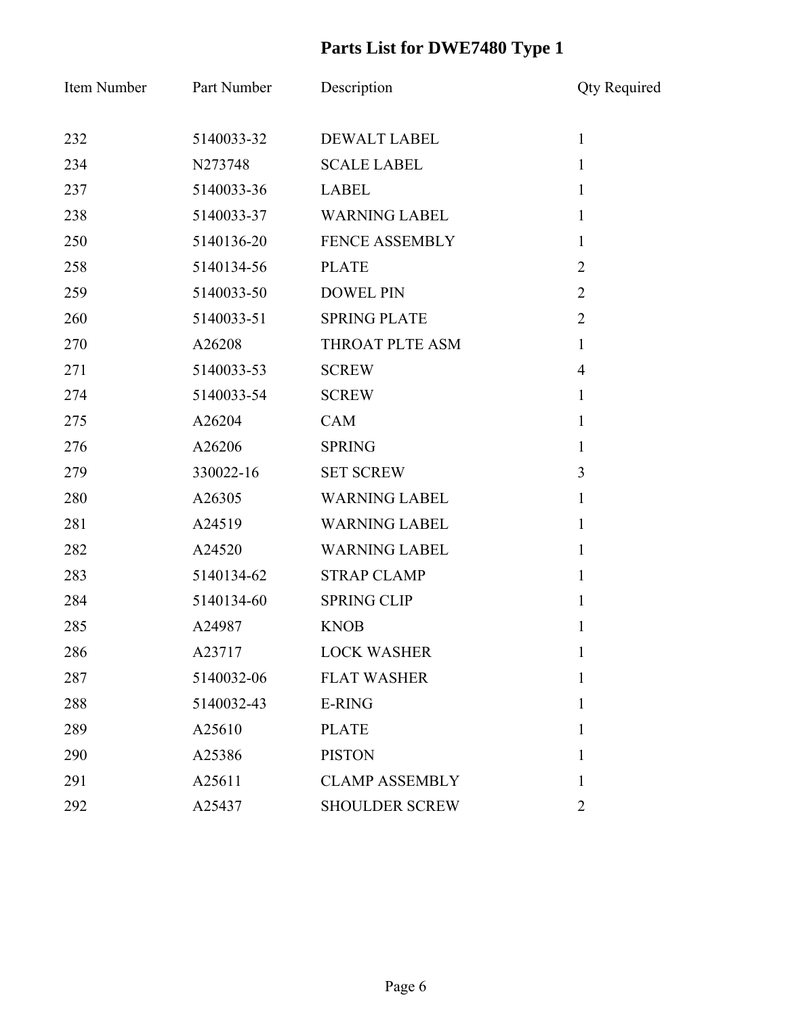| Item Number | Part Number | Description           | <b>Qty Required</b> |
|-------------|-------------|-----------------------|---------------------|
| 232         | 5140033-32  | DEWALT LABEL          | $\mathbf{1}$        |
| 234         | N273748     | <b>SCALE LABEL</b>    | $\mathbf{1}$        |
| 237         | 5140033-36  | LABEL                 | $\mathbf{1}$        |
| 238         | 5140033-37  | <b>WARNING LABEL</b>  | $\mathbf{1}$        |
| 250         | 5140136-20  | <b>FENCE ASSEMBLY</b> | $\mathbf{1}$        |
| 258         | 5140134-56  | <b>PLATE</b>          | $\overline{2}$      |
| 259         | 5140033-50  | <b>DOWEL PIN</b>      | $\overline{2}$      |
| 260         | 5140033-51  | <b>SPRING PLATE</b>   | $\overline{2}$      |
| 270         | A26208      | THROAT PLTE ASM       | $\mathbf{1}$        |
| 271         | 5140033-53  | <b>SCREW</b>          | $\overline{4}$      |
| 274         | 5140033-54  | <b>SCREW</b>          | $\mathbf{1}$        |
| 275         | A26204      | <b>CAM</b>            | $\mathbf{1}$        |
| 276         | A26206      | <b>SPRING</b>         | $\mathbf{1}$        |
| 279         | 330022-16   | <b>SET SCREW</b>      | $\overline{3}$      |
| 280         | A26305      | <b>WARNING LABEL</b>  | $\mathbf{1}$        |
| 281         | A24519      | <b>WARNING LABEL</b>  | $\mathbf{1}$        |
| 282         | A24520      | <b>WARNING LABEL</b>  | $\mathbf{1}$        |
| 283         | 5140134-62  | <b>STRAP CLAMP</b>    | $\mathbf{1}$        |
| 284         | 5140134-60  | <b>SPRING CLIP</b>    | $\mathbf{1}$        |
| 285         | A24987      | <b>KNOB</b>           | 1                   |
| 286         | A23717      | <b>LOCK WASHER</b>    | $\mathbf{I}$        |
| 287         | 5140032-06  | <b>FLAT WASHER</b>    | $\mathbf{1}$        |
| 288         | 5140032-43  | <b>E-RING</b>         | 1                   |
| 289         | A25610      | <b>PLATE</b>          | 1                   |
| 290         | A25386      | <b>PISTON</b>         | $\mathbf{1}$        |
| 291         | A25611      | <b>CLAMP ASSEMBLY</b> | 1                   |
| 292         | A25437      | <b>SHOULDER SCREW</b> | $\overline{2}$      |